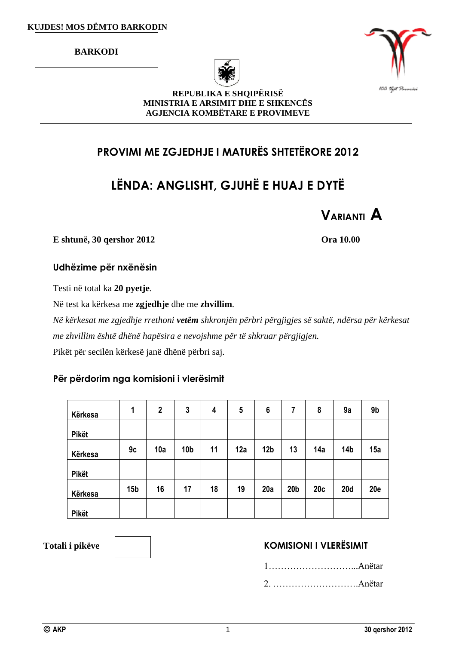**BARKODI**





**REPUBLIKA E SHQIPËRISË MINISTRIA E ARSIMIT DHE E SHKENCËS AGJENCIA KOMBËTARE E PROVIMEVE**

## **PROVIMI ME ZGJEDHJE I MATURËS SHTETËRORE 2012**

# **LËNDA: ANGLISHT, GJUHË E HUAJ E DYTË**



**E shtunë, 30 qershor 2012 Ora 10.00**

**Udhëzime për nxënësin**

Testi në total ka **20 pyetje**.

Në test ka kërkesa me **zgjedhje** dhe me **zhvillim**.

*Në kërkesat me zgjedhje rrethoni vetëm shkronjën përbri përgjigjes së saktë, ndërsa për kërkesat me zhvillim është dhënë hapësira e nevojshme për të shkruar përgjigjen.* Pikët për secilën kërkesë janë dhënë përbri saj.

### **Për përdorim nga komisioni i vlerësimit**

| Kërkesa      | 1               | $\boldsymbol{2}$ | 3               | 4  | 5   | 6               | 7               | 8   | 9a         | 9b         |
|--------------|-----------------|------------------|-----------------|----|-----|-----------------|-----------------|-----|------------|------------|
| <b>Pikët</b> |                 |                  |                 |    |     |                 |                 |     |            |            |
| Kërkesa      | 9c              | 10a              | 10 <sub>b</sub> | 11 | 12a | 12 <sub>b</sub> | 13              | 14a | 14b        | 15a        |
| <b>Pikët</b> |                 |                  |                 |    |     |                 |                 |     |            |            |
| Kërkesa      | 15 <sub>b</sub> | 16               | 17              | 18 | 19  | 20a             | 20 <sub>b</sub> | 20c | <b>20d</b> | <b>20e</b> |
| Pikët        |                 |                  |                 |    |     |                 |                 |     |            |            |

### Totali i pikëve  $\parallel$   $\parallel$   $\parallel$  **KOMISIONI I VLERËSIMIT**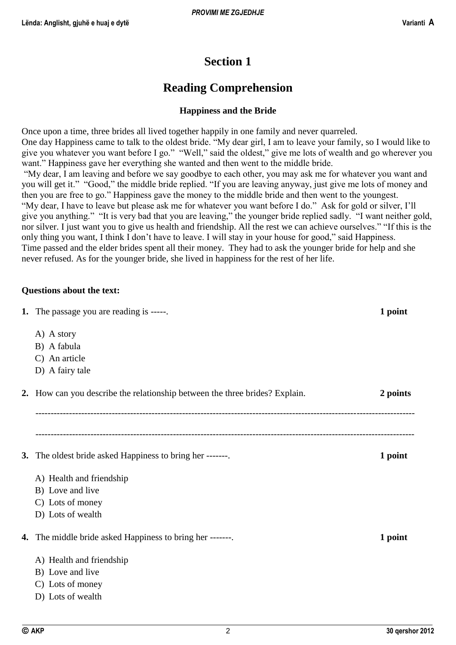## **Section 1**

## **Reading Comprehension**

#### **Happiness and the Bride**

Once upon a time, three brides all lived together happily in one family and never quarreled. One day Happiness came to talk to the oldest bride. "My dear girl, I am to leave your family, so I would like to give you whatever you want before I go." "Well," said the oldest," give me lots of wealth and go wherever you want." Happiness gave her everything she wanted and then went to the middle bride. "My dear, I am leaving and before we say goodbye to each other, you may ask me for whatever you want and you will get it." "Good," the middle bride replied. "If you are leaving anyway, just give me lots of money and then you are free to go." Happiness gave the money to the middle bride and then went to the youngest. "My dear, I have to leave but please ask me for whatever you want before I do." Ask for gold or silver, I'll give you anything." "It is very bad that you are leaving," the younger bride replied sadly. "I want neither gold, nor silver. I just want you to give us health and friendship. All the rest we can achieve ourselves." "If this is the only thing you want, I think I don't have to leave. I will stay in your house for good," said Happiness.

Time passed and the elder brides spent all their money. They had to ask the younger bride for help and she never refused. As for the younger bride, she lived in happiness for the rest of her life.

#### **Questions about the text:**

| <b>1.</b> The passage you are reading is -----.                             | 1 point  |
|-----------------------------------------------------------------------------|----------|
| A) A story                                                                  |          |
| B) A fabula                                                                 |          |
| C) An article                                                               |          |
| D) A fairy tale                                                             |          |
| 2. How can you describe the relationship between the three brides? Explain. | 2 points |
|                                                                             |          |
| <b>3.</b> The oldest bride asked Happiness to bring her -------             | 1 point  |
| A) Health and friendship                                                    |          |
| B) Love and live                                                            |          |
| C) Lots of money                                                            |          |
| D) Lots of wealth                                                           |          |
| <b>4.</b> The middle bride asked Happiness to bring her -------.            | 1 point  |
| A) Health and friendship                                                    |          |
| B) Love and live                                                            |          |
| C) Lots of money                                                            |          |
| D) Lots of wealth                                                           |          |
|                                                                             |          |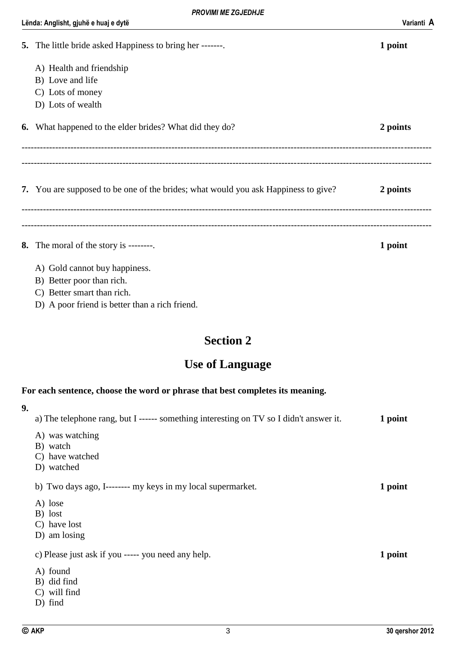#### Lënda: Anglisht, gjuhë e huaj e dytë Varianti **A**

| <b>5.</b> The little bride asked Happiness to bring her -------                    | 1 point  |
|------------------------------------------------------------------------------------|----------|
| A) Health and friendship                                                           |          |
| B) Love and life                                                                   |          |
| C) Lots of money                                                                   |          |
| D) Lots of wealth                                                                  |          |
| <b>6.</b> What happened to the elder brides? What did they do?                     | 2 points |
|                                                                                    |          |
| 7. You are supposed to be one of the brides; what would you ask Happiness to give? | 2 points |
|                                                                                    |          |
| 8. The moral of the story is --------.                                             | 1 point  |
| A) Gold cannot buy happiness.                                                      |          |
| B) Better poor than rich.                                                          |          |
| C) Better smart than rich.                                                         |          |

D) A poor friend is better than a rich friend.

## **Section 2**

## **Use of Language**

### **For each sentence, choose the word or phrase that best completes its meaning.**

| 9. |                                                                                        |         |
|----|----------------------------------------------------------------------------------------|---------|
|    | a) The telephone rang, but I ------ something interesting on TV so I didn't answer it. | 1 point |
|    | A) was watching                                                                        |         |
|    | B) watch                                                                               |         |
|    | C) have watched                                                                        |         |
|    | D) watched                                                                             |         |
|    | b) Two days ago, I-------- my keys in my local supermarket.                            | 1 point |
|    | A) lose                                                                                |         |
|    | B) lost                                                                                |         |
|    | C) have lost                                                                           |         |
|    | D) am losing                                                                           |         |
|    | c) Please just ask if you ----- you need any help.                                     | 1 point |
|    | A) found                                                                               |         |
|    | B) did find                                                                            |         |
|    | C) will find                                                                           |         |
|    | $D)$ find                                                                              |         |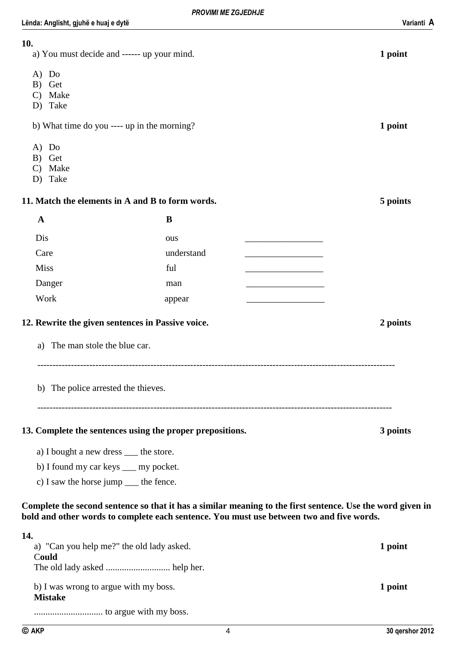| 10.<br>a) You must decide and ------ up your mind.        |            |                                                                                                                                                                                                        | 1 point  |
|-----------------------------------------------------------|------------|--------------------------------------------------------------------------------------------------------------------------------------------------------------------------------------------------------|----------|
| $A)$ Do<br>Get<br>B)<br>C) Make<br>D) Take                |            |                                                                                                                                                                                                        |          |
| b) What time do you ---- up in the morning?               |            |                                                                                                                                                                                                        | 1 point  |
| $A)$ Do<br>Get<br>B)<br>Make<br>$\mathbf{C}$<br>D) Take   |            |                                                                                                                                                                                                        |          |
| 11. Match the elements in A and B to form words.          |            |                                                                                                                                                                                                        | 5 points |
| $\mathbf A$                                               | B          |                                                                                                                                                                                                        |          |
| Dis                                                       | ous        |                                                                                                                                                                                                        |          |
| Care                                                      | understand |                                                                                                                                                                                                        |          |
| <b>Miss</b>                                               | ful        |                                                                                                                                                                                                        |          |
| Danger                                                    | man        |                                                                                                                                                                                                        |          |
| Work                                                      | appear     |                                                                                                                                                                                                        |          |
| 12. Rewrite the given sentences in Passive voice.         |            |                                                                                                                                                                                                        | 2 points |
| The man stole the blue car.<br>a)                         |            |                                                                                                                                                                                                        |          |
| b) The police arrested the thieves.                       |            |                                                                                                                                                                                                        |          |
| 13. Complete the sentences using the proper prepositions. |            |                                                                                                                                                                                                        | 3 points |
| a) I bought a new dress ___ the store.                    |            |                                                                                                                                                                                                        |          |
| b) I found my car keys ___ my pocket.                     |            |                                                                                                                                                                                                        |          |
| c) I saw the horse jump _____ the fence.                  |            |                                                                                                                                                                                                        |          |
|                                                           |            | Complete the second sentence so that it has a similar meaning to the first sentence. Use the word given in<br>bold and other words to complete each sentence. You must use between two and five words. |          |
| 14.<br>a) "Can you help me?" the old lady asked.<br>Could |            |                                                                                                                                                                                                        | 1 point  |

The old lady asked ............................ help her.

b) I was wrong to argue with my boss. **1 point Mistake** .............................. to argue with my boss.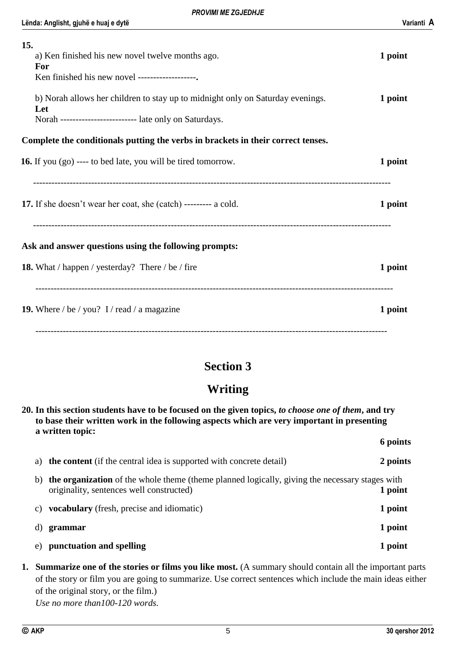| 15.<br>a) Ken finished his new novel twelve months ago.                                                                                          | 1 point |
|--------------------------------------------------------------------------------------------------------------------------------------------------|---------|
| For<br>Ken finished his new novel -------------------                                                                                            |         |
| b) Norah allows her children to stay up to midnight only on Saturday evenings.<br>Let<br>Norah ------------------------- late only on Saturdays. | 1 point |
| Complete the conditionals putting the verbs in brackets in their correct tenses.                                                                 |         |
| <b>16.</b> If you (go) ---- to bed late, you will be tired tomorrow.                                                                             | 1 point |
| 17. If she doesn't wear her coat, she (catch) --------- a cold.                                                                                  | 1 point |
| Ask and answer questions using the following prompts:                                                                                            |         |
| <b>18.</b> What / happen / yesterday? There / be / fire                                                                                          | 1 point |
| <b>19.</b> Where / be / you? I / read / a magazine                                                                                               | 1 point |
|                                                                                                                                                  |         |

## **Section 3**

## **Writing**

|    | 20. In this section students have to be focused on the given topics, to choose one of them, and try<br>to base their written work in the following aspects which are very important in presenting<br>a written topic: |          |
|----|-----------------------------------------------------------------------------------------------------------------------------------------------------------------------------------------------------------------------|----------|
|    |                                                                                                                                                                                                                       | 6 points |
| a) | <b>the content</b> (if the central idea is supported with concrete detail)                                                                                                                                            | 2 points |
|    | the organization of the whole theme (theme planned logically, giving the necessary stages with<br>b)<br>originality, sentences well constructed)                                                                      | 1 point  |
| C) | <b>vocabulary</b> (fresh, precise and idiomatic)                                                                                                                                                                      | 1 point  |
|    | grammar<br>d)                                                                                                                                                                                                         | 1 point  |
| e) | punctuation and spelling                                                                                                                                                                                              | 1 point  |

**1. Summarize one of the stories or films you like most.** (A summary should contain all the important parts of the story or film you are going to summarize. Use correct sentences which include the main ideas either of the original story, or the film.)

*Use no more than100-120 words.*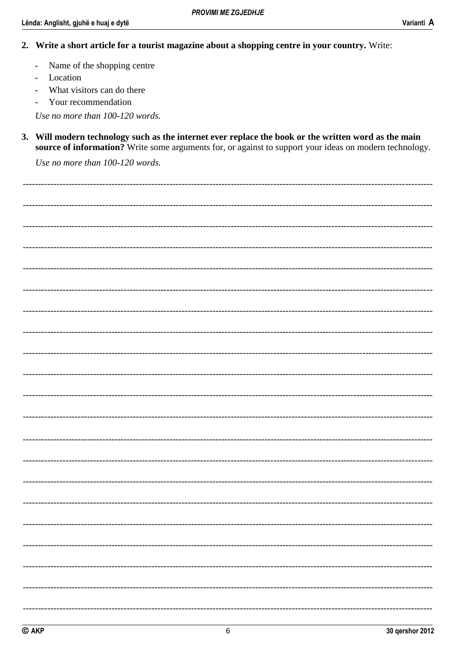- 2. Write a short article for a tourist magazine about a shopping centre in your country. Write:
	- Name of the shopping centre  $\overline{a}$
	- Location  $\overline{a}$
	- What visitors can do there
	- Your recommendation  $\equiv$

Use no more than 100-120 words.

3. Will modern technology such as the internet ever replace the book or the written word as the main source of information? Write some arguments for, or against to support your ideas on modern technology.

Use no more than 100-120 words.